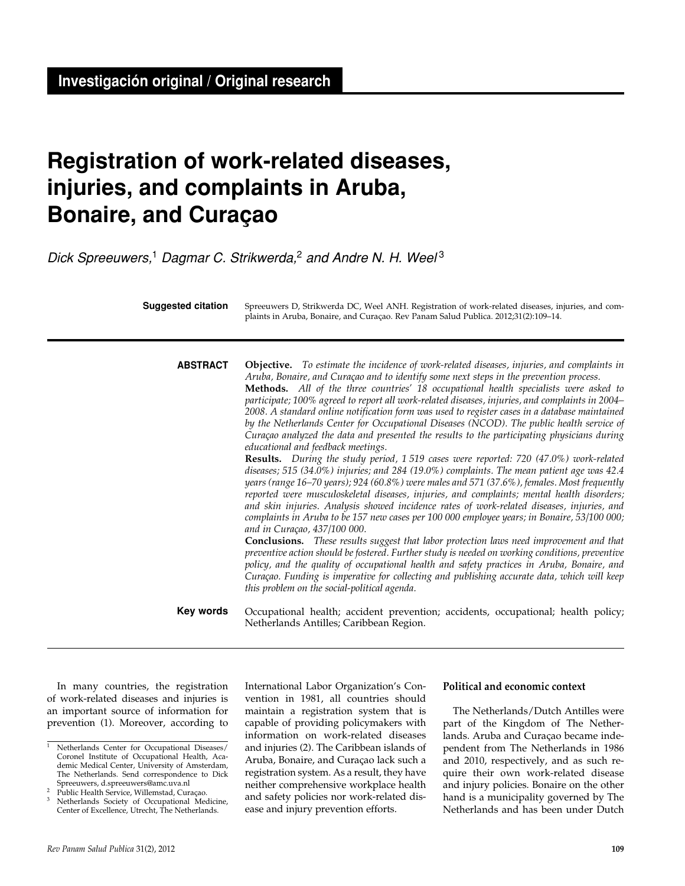# **Registration of work-related diseases, injuries, and complaints in Aruba, Bonaire, and Curaçao**

*Dick Spreeuwers,*1 *Dagmar C. Strikwerda,*2 *and Andre N. H. Weel* <sup>3</sup>

| <b>Suggested citation</b> | Spreeuwers D, Strikwerda DC, Weel ANH. Registration of work-related diseases, injuries, and com-<br>plaints in Aruba, Bonaire, and Curacao. Rev Panam Salud Publica. 2012;31(2):109–14. |
|---------------------------|-----------------------------------------------------------------------------------------------------------------------------------------------------------------------------------------|
| <b>ABSTRACT</b>           | <b>Objective.</b> To estimate the incidence of work-related diseases, injuries, and complaints in                                                                                       |

*Aruba, Bonaire, and Curaçao and to identify some next steps in the prevention process.* **Methods.** *All of the three countries' 18 occupational health specialists were asked to participate; 100% agreed to report all work-related diseases, injuries, and complaints in 2004– 2008. A standard online notification form was used to register cases in a database maintained by the Netherlands Center for Occupational Diseases (NCOD). The public health service of Curaçao analyzed the data and presented the results to the participating physicians during educational and feedback meetings.* 

**Results.** *During the study period, 1 519 cases were reported: 720 (47.0%) work-related diseases; 515 (34.0%) injuries; and 284 (19.0%) complaints. The mean patient age was 42.4 years (range 16–70 years); 924 (60.8%) were males and 571 (37.6%), females. Most frequently reported were musculoskeletal diseases, injuries, and complaints; mental health disorders; and skin injuries. Analysis showed incidence rates of work-related diseases, injuries, and complaints in Aruba to be 157 new cases per 100 000 employee years; in Bonaire, 53/100 000; and in Curaçao, 437/100 000.*

**Conclusions.** *These results suggest that labor protection laws need improvement and that preventive action should be fostered. Further study is needed on working conditions, preventive policy, and the quality of occupational health and safety practices in Aruba, Bonaire, and Curaçao. Funding is imperative for collecting and publishing accurate data, which will keep this problem on the social-political agenda.*

Occupational health; accident prevention; accidents, occupational; health policy; Netherlands Antilles; Caribbean Region. **Key words**

In many countries, the registration of work-related diseases and injuries is an important source of information for prevention (1). Moreover, according to

International Labor Organization's Convention in 1981, all countries should maintain a registration system that is capable of providing policymakers with information on work-related diseases and injuries (2). The Caribbean islands of Aruba, Bonaire, and Curaçao lack such a registration system. As a result, they have neither comprehensive workplace health and safety policies nor work-related disease and injury prevention efforts.

## **Political and economic context**

The Netherlands/Dutch Antilles were part of the Kingdom of The Netherlands. Aruba and Curaçao became independent from The Netherlands in 1986 and 2010, respectively, and as such require their own work-related disease and injury policies. Bonaire on the other hand is a municipality governed by The Netherlands and has been under Dutch

<sup>1</sup> Netherlands Center for Occupational Diseases/ Coronel Institute of Occupational Health, Academic Medical Center, University of Amsterdam, The Netherlands. Send correspondence to Dick Spreeuwers, d.spreeuwers@amc.uva.nl

Public Health Service, Willemstad, Curaçao. Netherlands Society of Occupational Medicine, Center of Excellence, Utrecht, The Netherlands.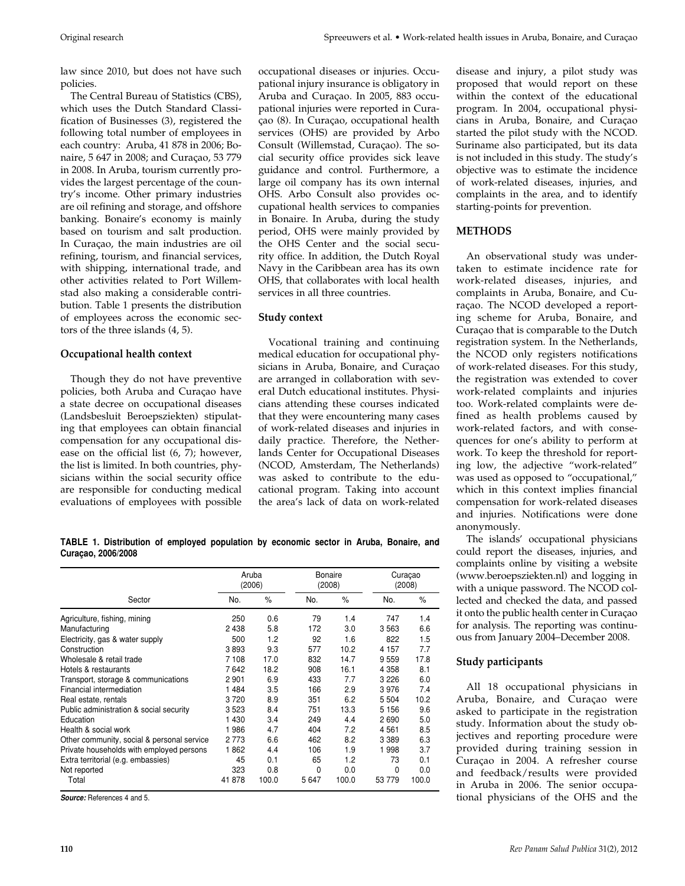law since 2010, but does not have such policies.

The Central Bureau of Statistics (CBS), which uses the Dutch Standard Classification of Businesses (3), registered the following total number of employees in each country: Aruba, 41 878 in 2006; Bonaire, 5 647 in 2008; and Curaçao, 53 779 in 2008. In Aruba, tourism currently provides the largest percentage of the country's income. Other primary industries are oil refining and storage, and offshore banking. Bonaire's economy is mainly based on tourism and salt production. In Curaçao, the main industries are oil refining, tourism, and financial services, with shipping, international trade, and other activities related to Port Willemstad also making a considerable contribution. Table 1 presents the distribution of employees across the economic sectors of the three islands (4, 5).

## **Occupational health context**

Though they do not have preventive policies, both Aruba and Curaçao have a state decree on occupational diseases (Landsbesluit Beroepsziekten) stipulating that employees can obtain financial compensation for any occupational disease on the official list (6, 7); however, the list is limited. In both countries, physicians within the social security office are responsible for conducting medical evaluations of employees with possible

occupational diseases or injuries. Occupational injury insurance is obligatory in Aruba and Curaçao. In 2005, 883 occupational injuries were reported in Curaçao (8). In Curaçao, occupational health services (OHS) are provided by Arbo Consult (Willemstad, Curaçao). The social security office provides sick leave guidance and control. Furthermore, a large oil company has its own internal OHS. Arbo Consult also provides occupational health services to companies in Bonaire. In Aruba, during the study period, OHS were mainly provided by the OHS Center and the social security office. In addition, the Dutch Royal Navy in the Caribbean area has its own OHS, that collaborates with local health services in all three countries.

## **Study context**

Vocational training and continuing medical education for occupational physicians in Aruba, Bonaire, and Curaçao are arranged in collaboration with several Dutch educational institutes. Physicians attending these courses indicated that they were encountering many cases of work-related diseases and injuries in daily practice. Therefore, the Netherlands Center for Occupational Diseases (NCOD, Amsterdam, The Netherlands) was asked to contribute to the educational program. Taking into account the area's lack of data on work-related

**TABLE 1. Distribution of employed population by economic sector in Aruba, Bonaire, and Curaçao, 2006/2008**

|                                            | Aruba<br>(2006) |       | Bonaire<br>(2008) |       | Curaçao<br>(2008) |       |
|--------------------------------------------|-----------------|-------|-------------------|-------|-------------------|-------|
| Sector                                     | No.             | $\%$  | No.               | $\%$  | No.               | $\%$  |
| Agriculture, fishing, mining               | 250             | 0.6   | 79                | 1.4   | 747               | 1.4   |
| Manufacturing                              | 2438            | 5.8   | 172               | 3.0   | 3563              | 6.6   |
| Electricity, gas & water supply            | 500             | 1.2   | 92                | 1.6   | 822               | 1.5   |
| Construction                               | 3893            | 9.3   | 577               | 10.2  | 4 1 5 7           | 7.7   |
| Wholesale & retail trade                   | 7 108           | 17.0  | 832               | 14.7  | 9559              | 17.8  |
| Hotels & restaurants                       | 7642            | 18.2  | 908               | 16.1  | 4 3 5 8           | 8.1   |
| Transport, storage & communications        | 2 9 0 1         | 6.9   | 433               | 7.7   | 3 2 2 6           | 6.0   |
| Financial intermediation                   | 1484            | 3.5   | 166               | 2.9   | 3976              | 7.4   |
| Real estate, rentals                       | 3720            | 8.9   | 351               | 6.2   | 5 5 0 4           | 10.2  |
| Public administration & social security    | 3523            | 8.4   | 751               | 13.3  | 5 1 5 6           | 9.6   |
| Education                                  | 1430            | 3.4   | 249               | 4.4   | 2690              | 5.0   |
| Health & social work                       | 1986            | 4.7   | 404               | 7.2   | 4561              | 8.5   |
| Other community, social & personal service | 2 7 7 3         | 6.6   | 462               | 8.2   | 3 3 8 9           | 6.3   |
| Private households with employed persons   | 1862            | 4.4   | 106               | 1.9   | 1998              | 3.7   |
| Extra territorial (e.g. embassies)         | 45              | 0.1   | 65                | 1.2   | 73                | 0.1   |
| Not reported                               | 323             | 0.8   | 0                 | 0.0   | 0                 | 0.0   |
| Total                                      | 41878           | 100.0 | 5647              | 100.0 | 53 779            | 100.0 |

*Source:* References 4 and 5.

disease and injury, a pilot study was proposed that would report on these within the context of the educational program. In 2004, occupational physicians in Aruba, Bonaire, and Curaçao started the pilot study with the NCOD. Suriname also participated, but its data is not included in this study. The study's objective was to estimate the incidence of work-related diseases, injuries, and complaints in the area, and to identify starting-points for prevention.

## **METHODS**

An observational study was undertaken to estimate incidence rate for work-related diseases, injuries, and complaints in Aruba, Bonaire, and Curaçao. The NCOD developed a reporting scheme for Aruba, Bonaire, and Curaçao that is comparable to the Dutch registration system. In the Netherlands, the NCOD only registers notifications of work-related diseases. For this study, the registration was extended to cover work-related complaints and injuries too. Work-related complaints were defined as health problems caused by work-related factors, and with consequences for one's ability to perform at work. To keep the threshold for reporting low, the adjective "work-related" was used as opposed to "occupational," which in this context implies financial compensation for work-related diseases and injuries. Notifications were done anonymously.

The islands' occupational physicians could report the diseases, injuries, and complaints online by visiting a website (www.beroepsziekten.nl) and logging in with a unique password. The NCOD collected and checked the data, and passed it onto the public health center in Curaçao for analysis. The reporting was continuous from January 2004–December 2008.

# **Study participants**

All 18 occupational physicians in Aruba, Bonaire, and Curaçao were asked to participate in the registration study. Information about the study objectives and reporting procedure were provided during training session in Curaçao in 2004. A refresher course and feedback/results were provided in Aruba in 2006. The senior occupational physicians of the OHS and the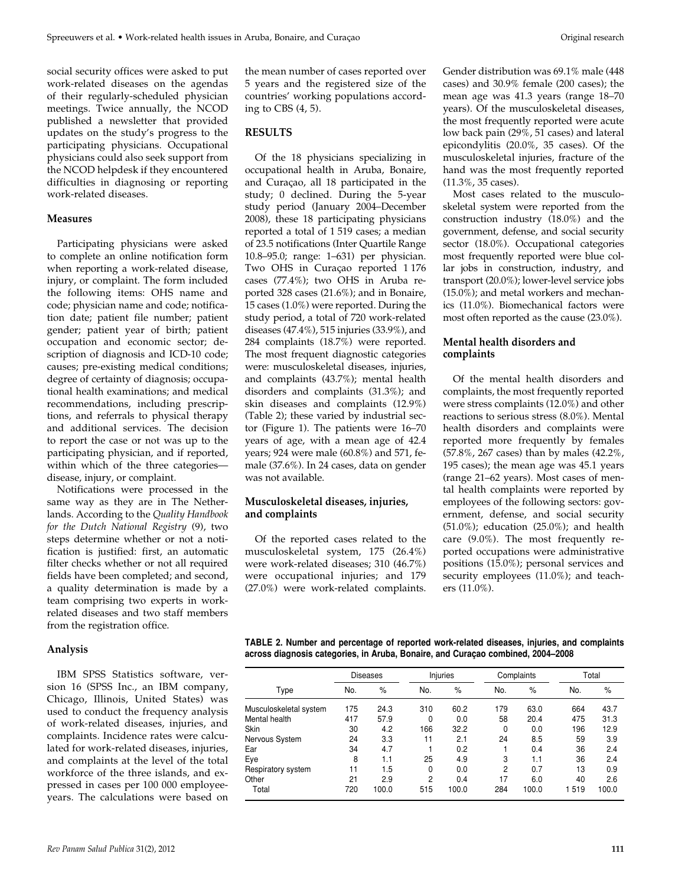social security offices were asked to put work-related diseases on the agendas of their regularly-scheduled physician meetings. Twice annually, the NCOD published a newsletter that provided updates on the study's progress to the participating physicians. Occupational physicians could also seek support from the NCOD helpdesk if they encountered difficulties in diagnosing or reporting work-related diseases.

#### **Measures**

Participating physicians were asked to complete an online notification form when reporting a work-related disease, injury, or complaint. The form included the following items: OHS name and code; physician name and code; notification date; patient file number; patient gender; patient year of birth; patient occupation and economic sector; description of diagnosis and ICD-10 code; causes; pre-existing medical conditions; degree of certainty of diagnosis; occupational health examinations; and medical recommendations, including prescriptions, and referrals to physical therapy and additional services. The decision to report the case or not was up to the participating physician, and if reported, within which of the three categories disease, injury, or complaint.

Notifications were processed in the same way as they are in The Netherlands. According to the *Quality Handbook for the Dutch National Registry* (9), two steps determine whether or not a notification is justified: first, an automatic filter checks whether or not all required fields have been completed; and second, a quality determination is made by a team comprising two experts in workrelated diseases and two staff members from the registration office.

#### **Analysis**

IBM SPSS Statistics software, version 16 (SPSS Inc., an IBM company, Chicago, Illinois, United States) was used to conduct the frequency analysis of work-related diseases, injuries, and complaints. Incidence rates were calculated for work-related diseases, injuries, and complaints at the level of the total workforce of the three islands, and expressed in cases per 100 000 employeeyears. The calculations were based on

the mean number of cases reported over 5 years and the registered size of the countries' working populations according to CBS (4, 5).

# **RESULTS**

Of the 18 physicians specializing in occupational health in Aruba, Bonaire, and Curaçao, all 18 participated in the study; 0 declined. During the 5-year study period (January 2004–December 2008), these 18 participating physicians reported a total of 1 519 cases; a median of 23.5 notifications (Inter Quartile Range 10.8–95.0; range: 1–631) per physician. Two OHS in Curaçao reported 1 176 cases (77.4%); two OHS in Aruba reported 328 cases (21.6%); and in Bonaire, 15 cases (1.0%) were reported. During the study period, a total of 720 work-related diseases (47.4%), 515 injuries (33.9%), and 284 complaints (18.7%) were reported. The most frequent diagnostic categories were: musculoskeletal diseases, injuries, and complaints (43.7%); mental health disorders and complaints (31.3%); and skin diseases and complaints (12.9%) (Table 2); these varied by industrial sector (Figure 1). The patients were 16–70 years of age, with a mean age of 42.4 years; 924 were male (60.8%) and 571, female (37.6%). In 24 cases, data on gender was not available.

#### **Musculoskeletal diseases, injuries, and complaints**

Of the reported cases related to the musculoskeletal system, 175 (26.4%) were work-related diseases; 310 (46.7%) were occupational injuries; and 179 (27.0%) were work-related complaints.

Gender distribution was 69.1% male (448 cases) and 30.9% female (200 cases); the mean age was 41.3 years (range 18–70 years). Of the musculoskeletal diseases, the most frequently reported were acute low back pain (29%, 51 cases) and lateral epicondylitis (20.0%, 35 cases). Of the musculoskeletal injuries, fracture of the hand was the most frequently reported (11.3%, 35 cases).

Most cases related to the musculoskeletal system were reported from the construction industry (18.0%) and the government, defense, and social security sector (18.0%). Occupational categories most frequently reported were blue collar jobs in construction, industry, and transport (20.0%); lower-level service jobs (15.0%); and metal workers and mechanics (11.0%). Biomechanical factors were most often reported as the cause (23.0%).

## **Mental health disorders and complaints**

Of the mental health disorders and complaints, the most frequently reported were stress complaints (12.0%) and other reactions to serious stress (8.0%). Mental health disorders and complaints were reported more frequently by females (57.8%, 267 cases) than by males (42.2%, 195 cases); the mean age was 45.1 years (range 21–62 years). Most cases of mental health complaints were reported by employees of the following sectors: government, defense, and social security (51.0%); education (25.0%); and health care (9.0%). The most frequently reported occupations were administrative positions (15.0%); personal services and security employees (11.0%); and teachers (11.0%).

|  |  |  | TABLE 2. Number and percentage of reported work-related diseases, injuries, and complaints |  |  |
|--|--|--|--------------------------------------------------------------------------------------------|--|--|
|  |  |  | across diagnosis categories, in Aruba, Bonaire, and Curaçao combined, 2004–2008            |  |  |

|                        | <b>Diseases</b> |       | Injuries |       | Complaints |       | Total |       |
|------------------------|-----------------|-------|----------|-------|------------|-------|-------|-------|
| Type                   | No.             | $\%$  | No.      | $\%$  | No.        | $\%$  | No.   | $\%$  |
| Musculoskeletal system | 175             | 24.3  | 310      | 60.2  | 179        | 63.0  | 664   | 43.7  |
| Mental health          | 417             | 57.9  | 0        | 0.0   | 58         | 20.4  | 475   | 31.3  |
| Skin                   | 30              | 4.2   | 166      | 32.2  | 0          | 0.0   | 196   | 12.9  |
| Nervous System         | 24              | 3.3   | 11       | 2.1   | 24         | 8.5   | 59    | 3.9   |
| Ear                    | 34              | 4.7   |          | 0.2   |            | 0.4   | 36    | 2.4   |
| Eye                    | 8               | 1.1   | 25       | 4.9   | 3          | 1.1   | 36    | 2.4   |
| Respiratory system     | 11              | 1.5   | 0        | 0.0   | 2          | 0.7   | 13    | 0.9   |
| Other                  | 21              | 2.9   | 2        | 0.4   | 17         | 6.0   | 40    | 2.6   |
| Total                  | 720             | 100.0 | 515      | 100.0 | 284        | 100.0 | 1519  | 100.0 |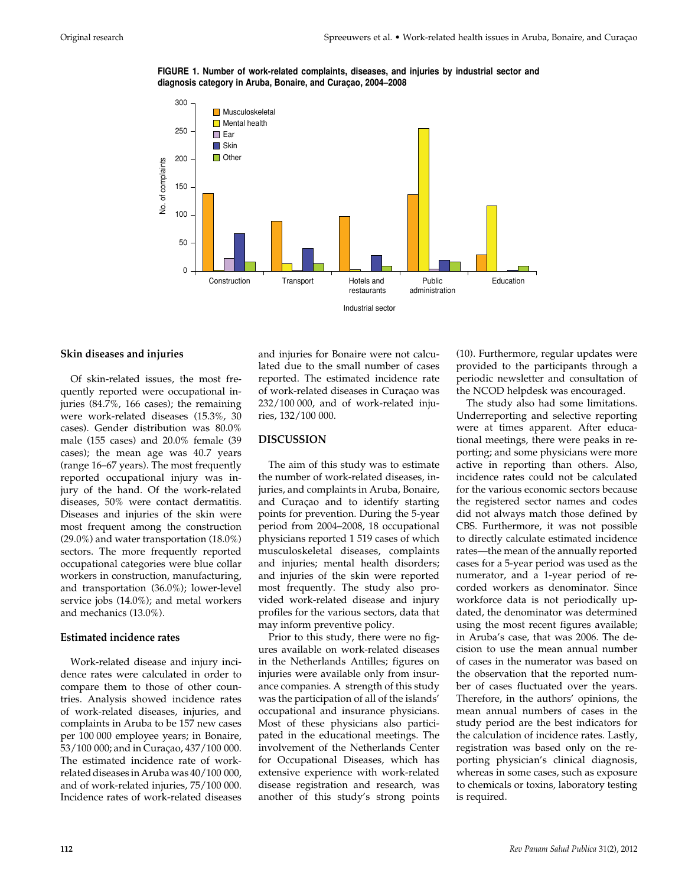

**FIGURE 1. Number of work-related complaints, diseases, and injuries by industrial sector and diagnosis category in Aruba, Bonaire, and Curaçao, 2004–2008**

#### **Skin diseases and injuries**

Of skin-related issues, the most frequently reported were occupational injuries (84.7%, 166 cases); the remaining were work-related diseases (15.3%, 30 cases). Gender distribution was 80.0% male (155 cases) and 20.0% female (39 cases); the mean age was 40.7 years (range 16–67 years). The most frequently reported occupational injury was injury of the hand. Of the work-related diseases, 50% were contact dermatitis. Diseases and injuries of the skin were most frequent among the construction (29.0%) and water transportation (18.0%) sectors. The more frequently reported occupational categories were blue collar workers in construction, manufacturing, and transportation (36.0%); lower-level service jobs (14.0%); and metal workers and mechanics (13.0%).

#### **Estimated incidence rates**

Work-related disease and injury incidence rates were calculated in order to compare them to those of other countries. Analysis showed incidence rates of work-related diseases, injuries, and complaints in Aruba to be 157 new cases per 100 000 employee years; in Bonaire, 53/100 000; and in Curaçao, 437/100 000. The estimated incidence rate of workrelated diseases in Aruba was 40/100 000, and of work-related injuries, 75/100 000. Incidence rates of work-related diseases

and injuries for Bonaire were not calculated due to the small number of cases reported. The estimated incidence rate of work-related diseases in Curaçao was 232/100 000, and of work-related injuries, 132/100 000.

### **DISCUSSION**

The aim of this study was to estimate the number of work-related diseases, injuries, and complaints in Aruba, Bonaire, and Curaçao and to identify starting points for prevention. During the 5-year period from 2004–2008, 18 occupational physicians reported 1 519 cases of which musculoskeletal diseases, complaints and injuries; mental health disorders; and injuries of the skin were reported most frequently. The study also provided work-related disease and injury profiles for the various sectors, data that may inform preventive policy.

Prior to this study, there were no figures available on work-related diseases in the Netherlands Antilles; figures on injuries were available only from insurance companies. A strength of this study was the participation of all of the islands' occupational and insurance physicians. Most of these physicians also participated in the educational meetings. The involvement of the Netherlands Center for Occupational Diseases, which has extensive experience with work-related disease registration and research, was another of this study's strong points (10). Furthermore, regular updates were provided to the participants through a periodic newsletter and consultation of the NCOD helpdesk was encouraged.

The study also had some limitations. Underreporting and selective reporting were at times apparent. After educational meetings, there were peaks in reporting; and some physicians were more active in reporting than others. Also, incidence rates could not be calculated for the various economic sectors because the registered sector names and codes did not always match those defined by CBS. Furthermore, it was not possible to directly calculate estimated incidence rates—the mean of the annually reported cases for a 5-year period was used as the numerator, and a 1-year period of recorded workers as denominator. Since workforce data is not periodically updated, the denominator was determined using the most recent figures available; in Aruba's case, that was 2006. The decision to use the mean annual number of cases in the numerator was based on the observation that the reported number of cases fluctuated over the years. Therefore, in the authors' opinions, the mean annual numbers of cases in the study period are the best indicators for the calculation of incidence rates. Lastly, registration was based only on the reporting physician's clinical diagnosis, whereas in some cases, such as exposure to chemicals or toxins, laboratory testing is required.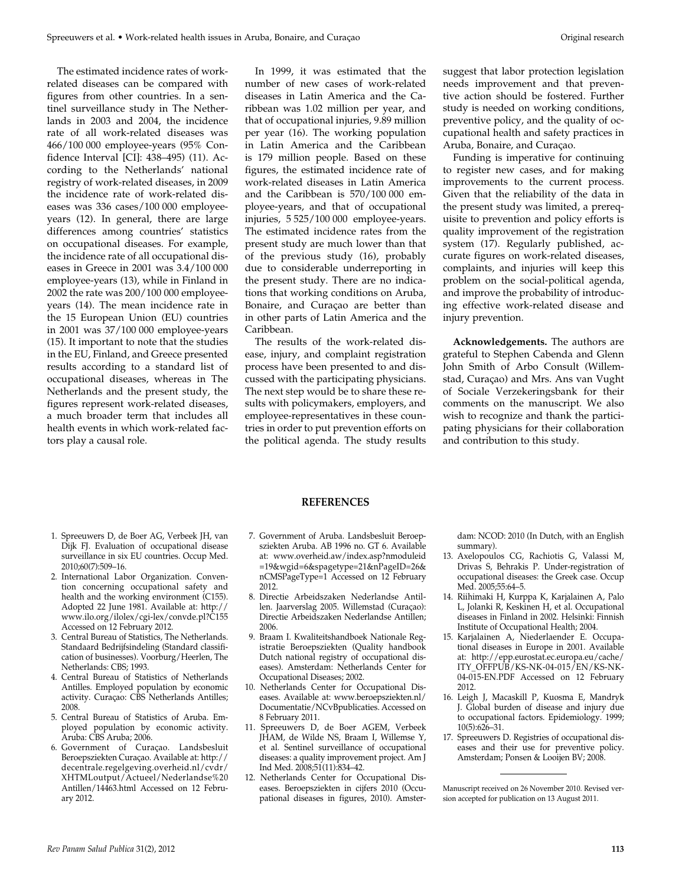The estimated incidence rates of workrelated diseases can be compared with figures from other countries. In a sentinel surveillance study in The Netherlands in 2003 and 2004, the incidence rate of all work-related diseases was 466/100 000 employee-years (95% Confidence Interval [CI]: 438–495) (11). According to the Netherlands' national registry of work-related diseases, in 2009 the incidence rate of work-related diseases was 336 cases/100 000 employeeyears (12). In general, there are large differences among countries' statistics on occupational diseases. For example, the incidence rate of all occupational diseases in Greece in 2001 was 3.4/100 000 employee-years (13), while in Finland in 2002 the rate was 200/100 000 employeeyears (14). The mean incidence rate in the 15 European Union (EU) countries in 2001 was 37/100 000 employee-years (15). It important to note that the studies in the EU, Finland, and Greece presented results according to a standard list of occupational diseases, whereas in The Netherlands and the present study, the figures represent work-related diseases, a much broader term that includes all health events in which work-related factors play a causal role.

In 1999, it was estimated that the number of new cases of work-related diseases in Latin America and the Caribbean was 1.02 million per year, and that of occupational injuries, 9.89 million per year (16). The working population in Latin America and the Caribbean is 179 million people. Based on these figures, the estimated incidence rate of work-related diseases in Latin America and the Caribbean is 570/100 000 employee-years, and that of occupational injuries, 5 525/100 000 employee-years. The estimated incidence rates from the present study are much lower than that of the previous study (16), probably due to considerable underreporting in the present study. There are no indications that working conditions on Aruba, Bonaire, and Curaçao are better than in other parts of Latin America and the Caribbean.

The results of the work-related disease, injury, and complaint registration process have been presented to and discussed with the participating physicians. The next step would be to share these results with policymakers, employers, and employee-representatives in these countries in order to put prevention efforts on the political agenda. The study results

suggest that labor protection legislation needs improvement and that preventive action should be fostered. Further study is needed on working conditions, preventive policy, and the quality of occupational health and safety practices in Aruba, Bonaire, and Curaçao.

Funding is imperative for continuing to register new cases, and for making improvements to the current process. Given that the reliability of the data in the present study was limited, a prerequisite to prevention and policy efforts is quality improvement of the registration system (17). Regularly published, accurate figures on work-related diseases, complaints, and injuries will keep this problem on the social-political agenda, and improve the probability of introducing effective work-related disease and injury prevention.

**Acknowledgements.** The authors are grateful to Stephen Cabenda and Glenn John Smith of Arbo Consult (Willemstad, Curaçao) and Mrs. Ans van Vught of Sociale Verzekeringsbank for their comments on the manuscript. We also wish to recognize and thank the participating physicians for their collaboration and contribution to this study.

- 1. Spreeuwers D, de Boer AG, Verbeek JH, van Dijk FJ. Evaluation of occupational disease surveillance in six EU countries. Occup Med. 2010;60(7):509–16.
- 2. International Labor Organization. Convention concerning occupational safety and health and the working environment (C155). Adopted 22 June 1981. Available at: http:// www.ilo.org/ilolex/cgi-lex/convde.pl?C155 Accessed on 12 February 2012.
- 3. Central Bureau of Statistics, The Netherlands. Standaard Bedrijfsindeling (Standard classification of businesses). Voorburg/Heerlen, The Netherlands: CBS; 1993.
- 4. Central Bureau of Statistics of Netherlands Antilles. Employed population by economic activity. Curaçao: CBS Netherlands Antilles; 2008.
- 5. Central Bureau of Statistics of Aruba. Employed population by economic activity. Aruba: CBS Aruba; 2006.
- 6. Government of Curaçao. Landsbesluit Beroepsziekten Curaçao. Available at: http:// decentrale.regelgeving.overheid.nl/cvdr/ XHTMLoutput/Actueel/Nederlandse%20 Antillen/14463.html Accessed on 12 February 2012.

#### **REFERENCES**

- 7. Government of Aruba. Landsbesluit Beroepsziekten Aruba. AB 1996 no. GT 6. Available at: www.overheid.aw/index.asp?nmoduleid =19&wgid=6&spagetype=21&nPageID=26& nCMSPageType=1 Accessed on 12 February 2012.
- 8. Directie Arbeidszaken Nederlandse Antillen. Jaarverslag 2005. Willemstad (Curaçao): Directie Arbeidszaken Nederlandse Antillen; 2006.
- 9. Braam I. Kwaliteitshandboek Nationale Registratie Beroepsziekten (Quality handbook Dutch national registry of occupational diseases). Amsterdam: Netherlands Center for Occupational Diseases; 2002.
- 10. Netherlands Center for Occupational Diseases. Available at: www.beroepsziekten.nl/ Documentatie/NCvBpublicaties. Accessed on 8 February 2011.
- 11. Spreeuwers D, de Boer AGEM, Verbeek JHAM, de Wilde NS, Braam I, Willemse Y, et al. Sentinel surveillance of occupational diseases: a quality improvement project. Am J Ind Med. 2008;51(11):834–42.
- 12. Netherlands Center for Occupational Diseases. Beroepsziekten in cijfers 2010 (Occupational diseases in figures, 2010). Amster-

dam: NCOD: 2010 (In Dutch, with an English summary).

- 13. Axelopoulos CG, Rachiotis G, Valassi M, Drivas S, Behrakis P. Under-registration of occupational diseases: the Greek case. Occup Med. 2005;55:64–5.
- 14. Riihimaki H, Kurppa K, Karjalainen A, Palo L, Jolanki R, Keskinen H, et al. Occupational diseases in Finland in 2002. Helsinki: Finnish Institute of Occupational Health; 2004.
- 15. Karjalainen A, Niederlaender E. Occupational diseases in Europe in 2001. Available at: http://epp.eurostat.ec.europa.eu/cache/ ITY\_OFFPUB/KS-NK-04-015/EN/KS-NK-04-015-EN.PDF Accessed on 12 February 2012.
- 16. Leigh J, Macaskill P, Kuosma E, Mandryk J. Global burden of disease and injury due to occupational factors. Epidemiology. 1999; 10(5):626–31.
- 17. Spreeuwers D. Registries of occupational diseases and their use for preventive policy. Amsterdam; Ponsen & Looijen BV; 2008.

Manuscript received on 26 November 2010. Revised version accepted for publication on 13 August 2011.